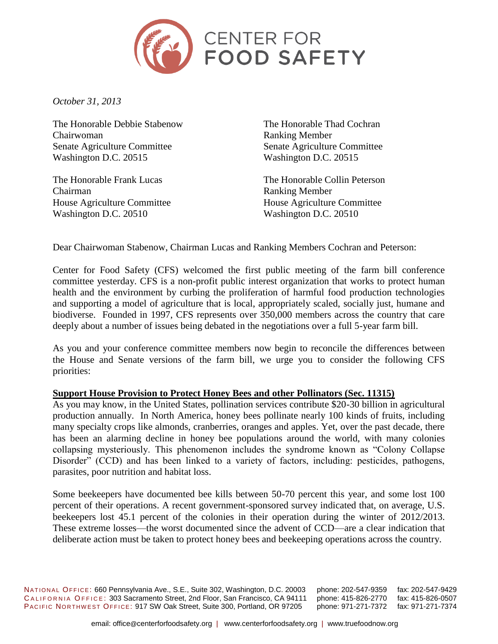

*October 31, 2013*

The Honorable Debbie Stabenow Chairwoman Senate Agriculture Committee Washington D.C. 20515

The Honorable Frank Lucas Chairman House Agriculture Committee Washington D.C. 20510

The Honorable Thad Cochran Ranking Member Senate Agriculture Committee Washington D.C. 20515

The Honorable Collin Peterson Ranking Member House Agriculture Committee Washington D.C. 20510

Dear Chairwoman Stabenow, Chairman Lucas and Ranking Members Cochran and Peterson:

Center for Food Safety (CFS) welcomed the first public meeting of the farm bill conference committee yesterday. CFS is a non-profit public interest organization that works to protect human health and the environment by curbing the proliferation of harmful food production technologies and supporting a model of agriculture that is local, appropriately scaled, socially just, humane and biodiverse. Founded in 1997, CFS represents over 350,000 members across the country that care deeply about a number of issues being debated in the negotiations over a full 5-year farm bill.

As you and your conference committee members now begin to reconcile the differences between the House and Senate versions of the farm bill, we urge you to consider the following CFS priorities:

### **Support House Provision to Protect Honey Bees and other Pollinators (Sec. 11315)**

As you may know, in the United States, pollination services contribute \$20-30 billion in agricultural production annually. In North America, honey bees pollinate nearly 100 kinds of fruits, including many specialty crops like almonds, cranberries, oranges and apples. Yet, over the past decade, there has been an alarming decline in honey bee populations around the world, with many colonies collapsing mysteriously. This phenomenon includes the syndrome known as "Colony Collapse Disorder" (CCD) and has been linked to a variety of factors, including: pesticides, pathogens, parasites, poor nutrition and habitat loss.

Some beekeepers have documented bee kills between 50-70 percent this year, and some lost 100 percent of their operations. A recent government-sponsored survey indicated that, on average, U.S. beekeepers lost 45.1 percent of the colonies in their operation during the winter of 2012/2013. These extreme losses—the worst documented since the advent of CCD—are a clear indication that deliberate action must be taken to protect honey bees and beekeeping operations across the country.

NATIONAL OFFICE: 660 Pennsylvania Ave., S.E., Suite 302, Washington, D.C. 20003 phone: 202-547-9359 fax: 202-547-9429 CALIFORNIA OFFICE: 303 Sacramento Street, 2nd Floor, San Francisco, CA 94111 phone: 415-826-2770 fax: 415-826-0507 PACIFIC NORTHWEST OFFICE: 917 SW Oak Street, Suite 300, Portland, OR 97205 phone: 971-271-7372 fax: 971-271-7374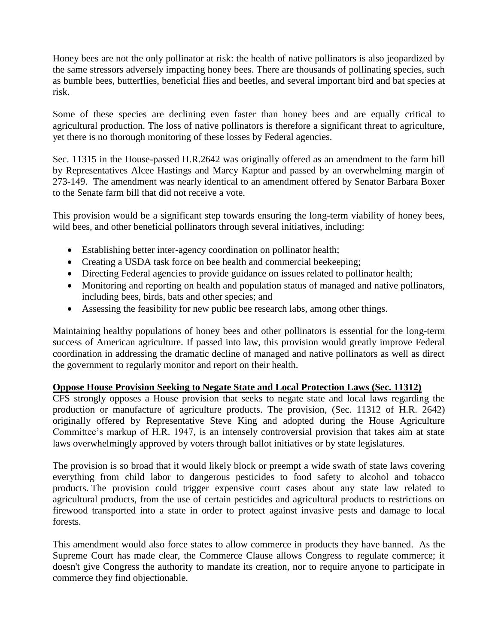Honey bees are not the only pollinator at risk: the health of native pollinators is also jeopardized by the same stressors adversely impacting honey bees. There are thousands of pollinating species, such as bumble bees, butterflies, beneficial flies and beetles, and several important bird and bat species at risk.

Some of these species are declining even faster than honey bees and are equally critical to agricultural production. The loss of native pollinators is therefore a significant threat to agriculture, yet there is no thorough monitoring of these losses by Federal agencies.

Sec. 11315 in the House-passed H.R.2642 was originally offered as an amendment to the farm bill by Representatives Alcee Hastings and Marcy Kaptur and passed by an overwhelming margin of 273-149. The amendment was nearly identical to an amendment offered by Senator Barbara Boxer to the Senate farm bill that did not receive a vote.

This provision would be a significant step towards ensuring the long-term viability of honey bees, wild bees, and other beneficial pollinators through several initiatives, including:

- Establishing better inter-agency coordination on pollinator health;
- Creating a USDA task force on bee health and commercial beekeeping;
- Directing Federal agencies to provide guidance on issues related to pollinator health;
- Monitoring and reporting on health and population status of managed and native pollinators, including bees, birds, bats and other species; and
- Assessing the feasibility for new public bee research labs, among other things.

Maintaining healthy populations of honey bees and other pollinators is essential for the long-term success of American agriculture. If passed into law, this provision would greatly improve Federal coordination in addressing the dramatic decline of managed and native pollinators as well as direct the government to regularly monitor and report on their health.

# **Oppose House Provision Seeking to Negate State and Local Protection Laws (Sec. 11312)**

CFS strongly opposes a House provision that seeks to negate state and local laws regarding the production or manufacture of agriculture products. The provision, (Sec. 11312 of H.R. 2642) originally offered by Representative Steve King and adopted during the House Agriculture Committee's markup of H.R. 1947, is an intensely controversial provision that takes aim at state laws overwhelmingly approved by voters through ballot initiatives or by state legislatures.

The provision is so broad that it would likely block or preempt a wide swath of state laws covering everything from child labor to dangerous pesticides to food safety to alcohol and tobacco products. The provision could trigger expensive court cases about any state law related to agricultural products, from the use of certain pesticides and agricultural products to restrictions on firewood transported into a state in order to protect against invasive pests and damage to local forests.

This amendment would also force states to allow commerce in products they have banned. As the Supreme Court has made clear, the Commerce Clause allows Congress to regulate commerce; it doesn't give Congress the authority to mandate its creation, nor to require anyone to participate in commerce they find objectionable.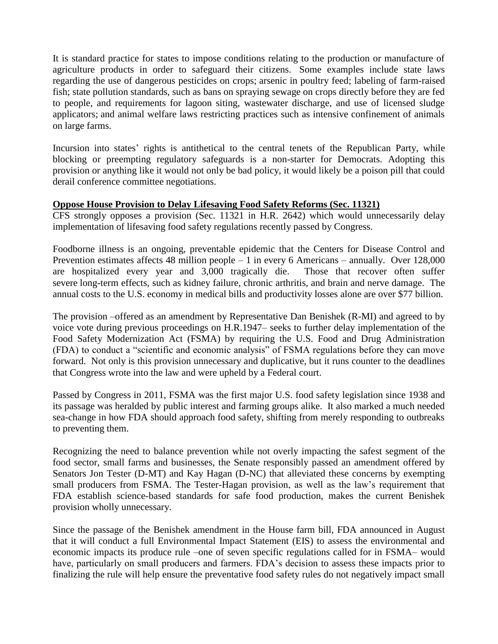It is standard practice for states to impose conditions relating to the production or manufacture of agriculture products in order to safeguard their citizens. Some examples include state laws regarding the use of dangerous pesticides on crops; arsenic in poultry feed; labeling of farm-raised fish; state pollution standards, such as bans on spraying sewage on crops directly before they are fed to people, and requirements for lagoon siting, wastewater discharge, and use of licensed sludge applicators; and animal welfare laws restricting practices such as intensive confinement of animals on large farms.

Incursion into states' rights is antithetical to the central tenets of the Republican Party, while blocking or preempting regulatory safeguards is a non-starter for Democrats. Adopting this provision or anything like it would not only be bad policy, it would likely be a poison pill that could derail conference committee negotiations.

## **Oppose House Provision to Delay Lifesaving Food Safety Reforms (Sec. 11321)**

CFS strongly opposes a provision (Sec. 11321 in H.R. 2642) which would unnecessarily delay implementation of lifesaving food safety regulations recently passed by Congress.

Foodborne illness is an ongoing, preventable epidemic that the Centers for Disease Control and Prevention estimates affects 48 million people – 1 in every 6 Americans – annually. Over 128,000 are hospitalized every year and 3,000 tragically die. Those that recover often suffer severe long-term effects, such as kidney failure, chronic arthritis, and brain and nerve damage. The annual costs to the U.S. economy in medical bills and productivity losses alone are over \$77 billion.

The provision –offered as an amendment by Representative Dan Benishek (R-MI) and agreed to by voice vote during previous proceedings on H.R.1947– seeks to further delay implementation of the Food Safety Modernization Act (FSMA) by requiring the U.S. Food and Drug Administration (FDA) to conduct a "scientific and economic analysis" of FSMA regulations before they can move forward. Not only is this provision unnecessary and duplicative, but it runs counter to the deadlines that Congress wrote into the law and were upheld by a Federal court.

Passed by Congress in 2011, FSMA was the first major U.S. food safety legislation since 1938 and its passage was heralded by public interest and farming groups alike. It also marked a much needed sea-change in how FDA should approach food safety, shifting from merely responding to outbreaks to preventing them.

Recognizing the need to balance prevention while not overly impacting the safest segment of the food sector, small farms and businesses, the Senate responsibly passed an amendment offered by Senators Jon Tester (D-MT) and Kay Hagan (D-NC) that alleviated these concerns by exempting small producers from FSMA. The Tester-Hagan provision, as well as the law's requirement that FDA establish science-based standards for safe food production, makes the current Benishek provision wholly unnecessary.

Since the passage of the Benishek amendment in the House farm bill, FDA announced in August that it will conduct a full Environmental Impact Statement (EIS) to assess the environmental and economic impacts its produce rule –one of seven specific regulations called for in FSMA– would have, particularly on small producers and farmers. FDA's decision to assess these impacts prior to finalizing the rule will help ensure the preventative food safety rules do not negatively impact small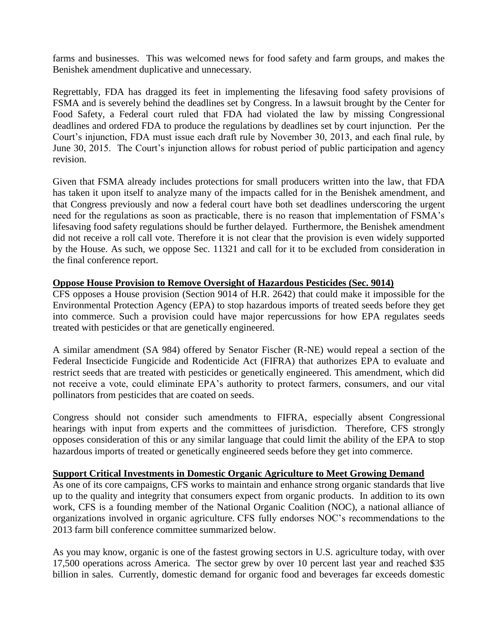farms and businesses. This was welcomed news for food safety and farm groups, and makes the Benishek amendment duplicative and unnecessary.

Regrettably, FDA has dragged its feet in implementing the lifesaving food safety provisions of FSMA and is severely behind the deadlines set by Congress. In a lawsuit brought by the Center for Food Safety, a Federal court ruled that FDA had violated the law by missing Congressional deadlines and ordered FDA to produce the regulations by deadlines set by court injunction. Per the Court's injunction, FDA must issue each draft rule by November 30, 2013, and each final rule, by June 30, 2015. The Court's injunction allows for robust period of public participation and agency revision.

Given that FSMA already includes protections for small producers written into the law, that FDA has taken it upon itself to analyze many of the impacts called for in the Benishek amendment, and that Congress previously and now a federal court have both set deadlines underscoring the urgent need for the regulations as soon as practicable, there is no reason that implementation of FSMA's lifesaving food safety regulations should be further delayed. Furthermore, the Benishek amendment did not receive a roll call vote. Therefore it is not clear that the provision is even widely supported by the House. As such, we oppose Sec. 11321 and call for it to be excluded from consideration in the final conference report.

### **Oppose House Provision to Remove Oversight of Hazardous Pesticides (Sec. 9014)**

CFS opposes a House provision (Section 9014 of H.R. 2642) that could make it impossible for the Environmental Protection Agency (EPA) to stop hazardous imports of treated seeds before they get into commerce. Such a provision could have major repercussions for how EPA regulates seeds treated with pesticides or that are genetically engineered.

A similar amendment (SA 984) offered by Senator Fischer (R-NE) would repeal a section of the Federal Insecticide Fungicide and Rodenticide Act (FIFRA) that authorizes EPA to evaluate and restrict seeds that are treated with pesticides or genetically engineered. This amendment, which did not receive a vote, could eliminate EPA's authority to protect farmers, consumers, and our vital pollinators from pesticides that are coated on seeds.

Congress should not consider such amendments to FIFRA, especially absent Congressional hearings with input from experts and the committees of jurisdiction. Therefore, CFS strongly opposes consideration of this or any similar language that could limit the ability of the EPA to stop hazardous imports of treated or genetically engineered seeds before they get into commerce.

### **Support Critical Investments in Domestic Organic Agriculture to Meet Growing Demand**

As one of its core campaigns, CFS works to maintain and enhance strong organic standards that live up to the quality and integrity that consumers expect from organic products. In addition to its own work, CFS is a founding member of the National Organic Coalition (NOC), a national alliance of organizations involved in organic agriculture. CFS fully endorses NOC's recommendations to the 2013 farm bill conference committee summarized below.

As you may know, organic is one of the fastest growing sectors in U.S. agriculture today, with over 17,500 operations across America. The sector grew by over 10 percent last year and reached \$35 billion in sales. Currently, domestic demand for organic food and beverages far exceeds domestic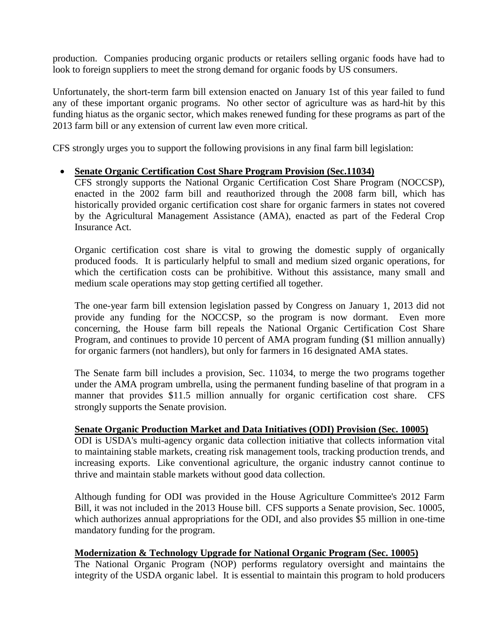production. Companies producing organic products or retailers selling organic foods have had to look to foreign suppliers to meet the strong demand for organic foods by US consumers.

Unfortunately, the short-term farm bill extension enacted on January 1st of this year failed to fund any of these important organic programs. No other sector of agriculture was as hard-hit by this funding hiatus as the organic sector, which makes renewed funding for these programs as part of the 2013 farm bill or any extension of current law even more critical.

CFS strongly urges you to support the following provisions in any final farm bill legislation:

## **Senate Organic Certification Cost Share Program Provision (Sec.11034)**

CFS strongly supports the National Organic Certification Cost Share Program (NOCCSP), enacted in the 2002 farm bill and reauthorized through the 2008 farm bill, which has historically provided organic certification cost share for organic farmers in states not covered by the Agricultural Management Assistance (AMA), enacted as part of the Federal Crop Insurance Act.

Organic certification cost share is vital to growing the domestic supply of organically produced foods. It is particularly helpful to small and medium sized organic operations, for which the certification costs can be prohibitive. Without this assistance, many small and medium scale operations may stop getting certified all together.

The one-year farm bill extension legislation passed by Congress on January 1, 2013 did not provide any funding for the NOCCSP, so the program is now dormant. Even more concerning, the House farm bill repeals the National Organic Certification Cost Share Program, and continues to provide 10 percent of AMA program funding (\$1 million annually) for organic farmers (not handlers), but only for farmers in 16 designated AMA states.

The Senate farm bill includes a provision, Sec. 11034, to merge the two programs together under the AMA program umbrella, using the permanent funding baseline of that program in a manner that provides \$11.5 million annually for organic certification cost share. CFS strongly supports the Senate provision.

### **Senate Organic Production Market and Data Initiatives (ODI) Provision (Sec. 10005)**

ODI is USDA's multi-agency organic data collection initiative that collects information vital to maintaining stable markets, creating risk management tools, tracking production trends, and increasing exports. Like conventional agriculture, the organic industry cannot continue to thrive and maintain stable markets without good data collection.

Although funding for ODI was provided in the House Agriculture Committee's 2012 Farm Bill, it was not included in the 2013 House bill. CFS supports a Senate provision, Sec. 10005, which authorizes annual appropriations for the ODI, and also provides \$5 million in one-time mandatory funding for the program.

### **Modernization & Technology Upgrade for National Organic Program (Sec. 10005)**

The National Organic Program (NOP) performs regulatory oversight and maintains the integrity of the USDA organic label. It is essential to maintain this program to hold producers